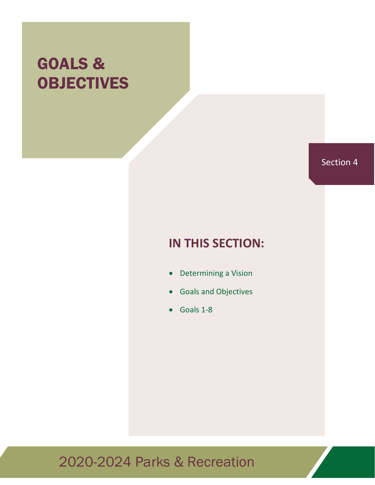# GOALS & **OBJECTIVES**

# Section 4

# **IN THIS SECTION:**

- Determining a Vision
- Goals and Objectives
- Goals 1-8

# 2020-2024 Parks & Recreation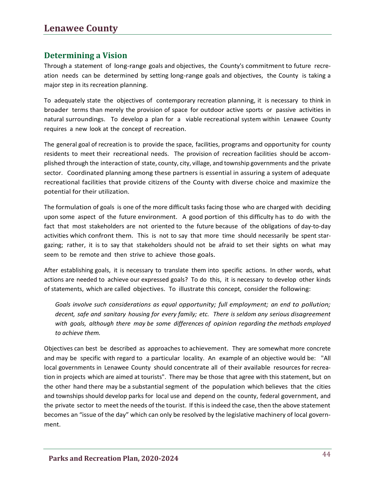### **Determining a Vision**

Through a statement of long-range goals and objectives, the County's commitment to future recreation needs can be determined by setting long-range goals and objectives, the County is taking a major step in its recreation planning.

To adequately state the objectives of contemporary recreation planning, it is necessary to think in broader terms than merely the provision of space for outdoor active sports or passive activities in natural surroundings. To develop a plan for a viable recreational system within Lenawee County requires a new look at the concept of recreation.

The general goal of recreation is to provide the space, facilities, programs and opportunity for county residents to meet their recreational needs. The provision of recreation facilities should be accomplished through the interaction of state, county, city, village, and township governments and the private sector. Coordinated planning among these partners is essential in assuring a system of adequate recreational facilities that provide citizens of the County with diverse choice and maximize the potential for their utilization.

The formulation of goals is one of the more difficult tasks facing those who are charged with deciding upon some aspect of the future environment. A good portion of this difficulty has to do with the fact that most stakeholders are not oriented to the future because of the obligations of day-to-day activities which confront them. This is not to say that more time should necessarily be spent stargazing; rather, it is to say that stakeholders should not be afraid to set their sights on what may seem to be remote and then strive to achieve those goals.

After establishing goals, it is necessary to translate them into specific actions. In other words, what actions are needed to achieve our expressed goals? To do this, it is necessary to develop other kinds of statements, which are called objectives. To illustrate this concept, consider the following:

*Goals involve such considerations as equal opportunity; full employment; an end to pollution; decent, safe and sanitary housing for every family; etc. There is seldom any serious disagreement with goals, although there may be some differences of opinion regarding the methods employed to achieve them.*

Objectives can best be described as approaches to achievement. They are somewhat more concrete and may be specific with regard to a particular locality. An example of an objective would be: "All local governments in Lenawee County should concentrate all of their available resources for recreation in projects which are aimed at tourists". There may be those that agree with this statement, but on the other hand there may be a substantial segment of the population which believes that the cities and townships should develop parks for local use and depend on the county, federal government, and the private sector to meet the needs of the tourist. If this is indeed the case, then the above statement becomes an "issue of the day" which can only be resolved by the legislative machinery of local government.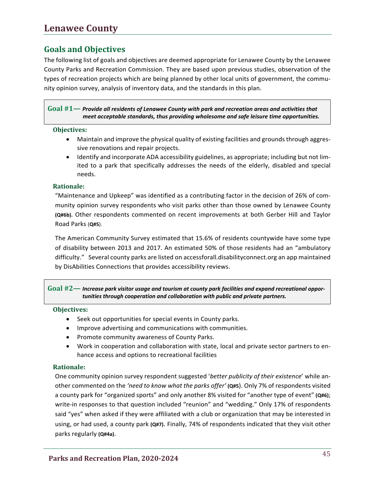### **Lenawee County**

### **Goals and Objectives**

The following list of goals and objectives are deemed appropriate for Lenawee County by the Lenawee County Parks and Recreation Commission. They are based upon previous studies, observation of the types of recreation projects which are being planned by other local units of government, the community opinion survey, analysis of inventory data, and the standards in this plan.

#### **Goal #1—** *Provide all residents of Lenawee County with park and recreation areas and activities that meet acceptable standards, thus providing wholesome and safe leisure time opportunities.*

#### **Objectives:**

- Maintain and improve the physical quality of existing facilities and grounds through aggressive renovations and repair projects.
- Identify and incorporate ADA accessibility guidelines, as appropriate; including but not limited to a park that specifically addresses the needs of the elderly, disabled and special needs.

#### **Rationale:**

"Maintenance and Upkeep" was identified as a contributing factor in the decision of 26% of com‐ munity opinion survey respondents who visit parks other than those owned by Lenawee County **(Q#6b).** Other respondents commented on recent improvements at both Gerber Hill and Taylor Road Parks (**Q#5**).

The American Community Survey estimated that 15.6% of residents countywide have some type of disability between 2013 and 2017. An estimated 50% of those residents had an "ambulatory difficulty." Several county parks are listed on accessforall.disabilityconnect.org an app maintained by DisAbilities Connections that provides accessibility reviews.

**Goal #2—** *Increase park visitor usage and tourism at county park facilities and expand recreational oppor‐ tunities through cooperation and collaboration with public and private partners.*

#### **Objectives:**

- Seek out opportunities for special events in County parks.
- Improve advertising and communications with communities.
- Promote community awareness of County Parks.
- Work in cooperation and collaboration with state, local and private sector partners to en hance access and options to recreational facilities

#### **Rationale:**

One community opinion survey respondent suggested '*better publicity of their existence*' while an‐ other commented on the *'need to know what the parks offer'* **(Q#5**). Only 7% of respondents visited a county park for "organized sports" and only another 8% visited for "another type of event" **(Q#6)**; write-in responses to that question included "reunion" and "wedding." Only 17% of respondents said "yes" when asked if they were affiliated with a club or organization that may be interested in using, or had used, a county park **(Q#7)**. Finally, 74% of respondents indicated that they visit other parks regularly **(Q#4a)**.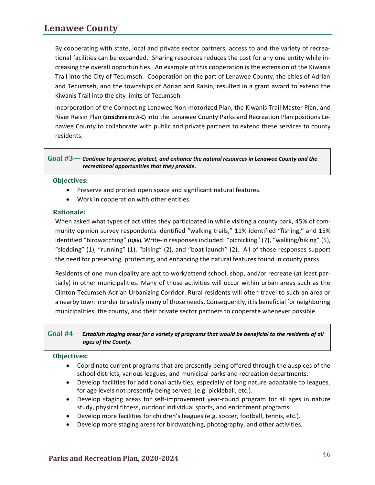## **Lenawee County**

By cooperating with state, local and private sector partners, access to and the variety of recreational facilities can be expanded. Sharing resources reduces the cost for any one entity while increasing the overall opportunities. An example of this cooperation is the extension of the Kiwanis Trail into the City of Tecumseh. Cooperation on the part of Lenawee County, the cities of Adrian and Tecumseh, and the townships of Adrian and Raisin, resulted in a grant award to extend the Kiwanis Trail into the city limits of Tecumseh.

Incorporation of the Connecting Lenawee Non-motorized Plan, the Kiwanis Trail Master Plan, and River Raisin Plan **(attachments A-C)** into the Lenawee County Parks and Recreation Plan positions Lenawee County to collaborate with public and private partners to extend these services to county residents.

#### **Goal #3—** *Continue to preserve, protect, and enhance the natural resources in Lenawee County and the recreational opportunities that they provide.*

#### **Objectives:**

- Preserve and protect open space and significant natural features.
- Work in cooperation with other entities.

#### **Rationale:**

When asked what types of activities they participated in while visiting a county park, 45% of community opinion survey respondents identified "walking trails," 11% identified "fishing," and 15% identified "birdwatching" **(Q#6).** Write-in responses included: "picnicking" (7), "walking/hiking" (5), "sledding" (1), "running" (1), "biking" (2), and "boat launch" (2). All of those responses support the need for preserving, protecting, and enhancing the natural features found in county parks.

Residents of one municipality are apt to work/attend school, shop, and/or recreate (at least partially) in other municipalities. Many of those activities will occur within urban areas such as the Clinton-Tecumseh-Adrian Urbanizing Corridor. Rural residents will often travel to such an area or a nearby town in order to satisfy many of those needs. Consequently, it is beneficial for neighboring municipalities, the county, and their private sector partners to cooperate whenever possible.

#### **Goal #4—** *Establish staging areas for a variety of programs that would be beneficial to the residents of all ages of the County.*

#### **Objectives:**

- Coordinate current programs that are presently being offered through the auspices of the school districts, various leagues, and municipal parks and recreation departments.
- Develop facilities for additional activities, especially of long nature adaptable to leagues, for age levels not presently being served; (e.g. pickleball, etc.).
- Develop staging areas for self-improvement year-round program for all ages in nature study, physical fitness, outdoor individual sports, and enrichment programs.
- Develop more facilities for children's leagues (e.g. soccer, football, tennis, etc.).
- Develop more staging areas for birdwatching, photography, and other activities.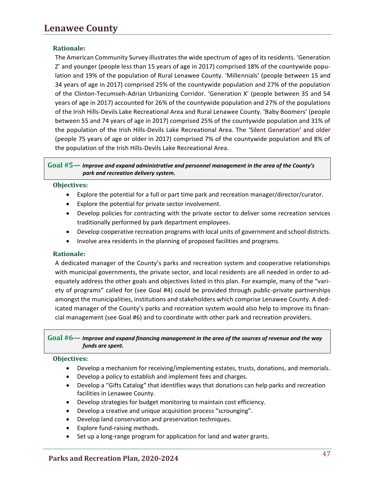#### **Rationale:**

The American Community Survey illustrates the wide spectrum of ages of its residents. 'Generation Z' and younger (people less than 15 years of age in 2017) comprised 18% of the countywide population and 19% of the population of Rural Lenawee County. 'Millennials' (people between 15 and 34 years of age in 2017) comprised 25% of the countywide population and 27% of the population of the Clinton-Tecumseh-Adrian Urbanizing Corridor. 'Generation X' (people between 35 and 54 years of age in 2017) accounted for 26% of the countywide population and 27% of the populations of the Irish Hills-Devils Lake Recreational Area and Rural Lenawee County. 'Baby Boomers' (people between 55 and 74 years of age in 2017) comprised 25% of the countywide population and 31% of the population of the Irish Hills-Devils Lake Recreational Area. The 'Silent Generation' and older (people 75 years of age or older in 2017) comprised 7% of the countywide population and 8% of the population of the Irish Hills-Devils Lake Recreational Area.

#### **Goal #5—** *Improve and expand administrative and personnel management in the area of the County's park and recreation delivery system.*

#### **Objectives:**

- Explore the potential for a full or part time park and recreation manager/director/curator.
- Explore the potential for private sector involvement.
- Develop policies for contracting with the private sector to deliver some recreation services traditionally performed by park department employees.
- Develop cooperative recreation programs with local units of government and school districts.
- Involve area residents in the planning of proposed facilities and programs.

#### **Rationale:**

A dedicated manager of the County's parks and recreation system and cooperative relationships with municipal governments, the private sector, and local residents are all needed in order to adequately address the other goals and objectives listed in this plan. For example, many of the "variety of programs" called for (see Goal #4) could be provided through public-private partnerships amongst the municipalities, institutions and stakeholders which comprise Lenawee County. A dedicated manager of the County's parks and recreation system would also help to improve its financial management (see Goal #6) and to coordinate with other park and recreation providers.

#### **Goal #6—** *Improve and expand financing management in the area of the sources of revenue and the way funds are spent.*

#### **Objectives:**

- Develop a mechanism for receiving/implementing estates, trusts, donations, and memorials.
- Develop a policy to establish and implement fees and charges.
- Develop a "Gifts Catalog" that identifies ways that donations can help parks and recreation facilities in Lenawee County.
- Develop strategies for budget monitoring to maintain cost efficiency.
- Develop a creative and unique acquisition process "scrounging".
- Develop land conservation and preservation techniques.
- Explore fund-raising methods.
- Set up a long-range program for application for land and water grants.